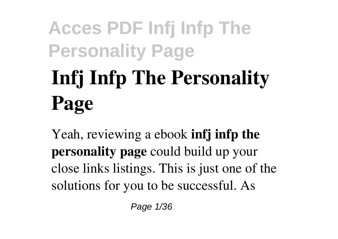# **Infj Infp The Personality Page**

Yeah, reviewing a ebook **infj infp the personality page** could build up your close links listings. This is just one of the solutions for you to be successful. As

Page 1/36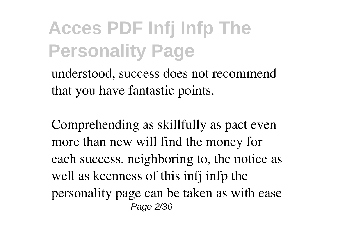understood, success does not recommend that you have fantastic points.

Comprehending as skillfully as pact even more than new will find the money for each success. neighboring to, the notice as well as keenness of this infj infp the personality page can be taken as with ease Page 2/36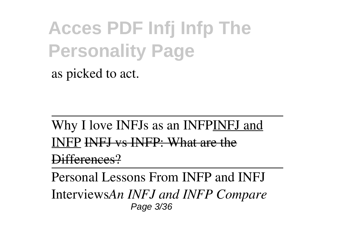as picked to act.

Why I love INFJs as an INFPINFJ and INFP INFJ vs INFP: What are the Differences?

Personal Lessons From INFP and INFJ Interviews*An INFJ and INFP Compare* Page 3/36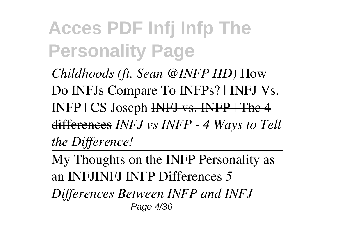*Childhoods (ft. Sean @INFP HD)* How Do INFJs Compare To INFPs? | INFJ Vs. INFP | CS Joseph INFJ vs. INFP | The 4 differences *INFJ vs INFP - 4 Ways to Tell the Difference!*

My Thoughts on the INFP Personality as an INFJINFJ INFP Differences *5*

*Differences Between INFP and INFJ* Page 4/36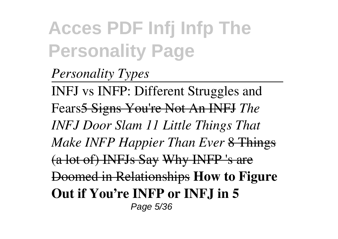*Personality Types* INFJ vs INFP: Different Struggles and Fears5 Signs You're Not An INFJ *The INFJ Door Slam 11 Little Things That Make INFP Happier Than Ever* 8 Things (a lot of) INFJs Say Why INFP 's are Doomed in Relationships **How to Figure Out if You're INFP or INFJ in 5** Page 5/36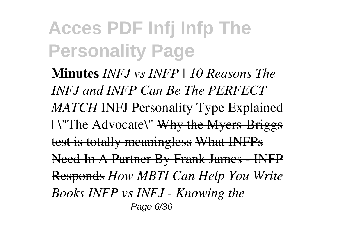**Minutes** *INFJ vs INFP | 10 Reasons The INFJ and INFP Can Be The PERFECT MATCH* INFJ Personality Type Explained | \"The Advocate\" Why the Myers-Briggs test is totally meaningless What INFPs Need In A Partner By Frank James - INFP Responds *How MBTI Can Help You Write Books INFP vs INFJ - Knowing the* Page 6/36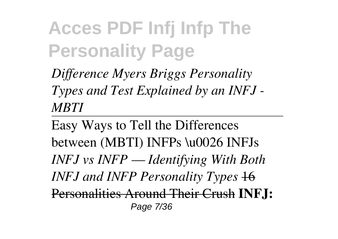*Difference Myers Briggs Personality Types and Test Explained by an INFJ - MBTI*

Easy Ways to Tell the Differences between (MBTI) INFPs \u0026 INFJs *INFJ vs INFP — Identifying With Both INFJ and INFP Personality Types*  $\frac{16}{10}$ Personalities Around Their Crush **INFJ:** Page 7/36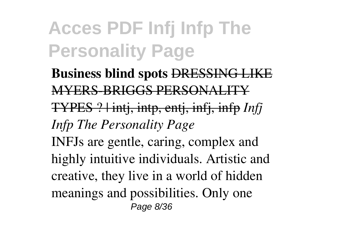**Business blind spots** DRESSING LIKE MYERS-BRIGGS PERSONALITY TYPES ? | intj, intp, entj, infj, infp *Infj Infp The Personality Page* INFJs are gentle, caring, complex and highly intuitive individuals. Artistic and creative, they live in a world of hidden meanings and possibilities. Only one Page 8/36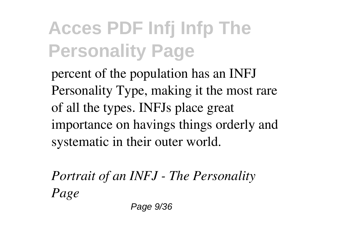percent of the population has an INFJ Personality Type, making it the most rare of all the types. INFJs place great importance on havings things orderly and systematic in their outer world.

*Portrait of an INFJ - The Personality Page*

Page 9/36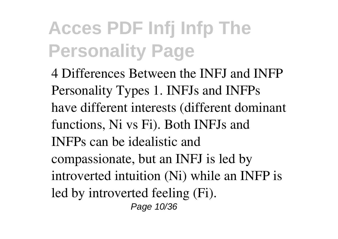4 Differences Between the INFJ and INFP Personality Types 1. INFJs and INFPs have different interests (different dominant functions, Ni vs Fi). Both INFJs and INFPs can be idealistic and compassionate, but an INFJ is led by introverted intuition (Ni) while an INFP is led by introverted feeling (Fi). Page 10/36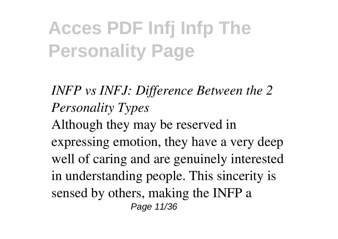*INFP vs INFJ: Difference Between the 2 Personality Types* Although they may be reserved in expressing emotion, they have a very deep well of caring and are genuinely interested in understanding people. This sincerity is sensed by others, making the INFP a Page 11/36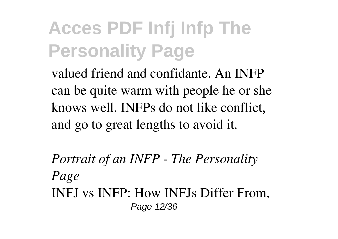valued friend and confidante. An INFP can be quite warm with people he or she knows well. INFPs do not like conflict, and go to great lengths to avoid it.

*Portrait of an INFP - The Personality Page* INFJ vs INFP: How INFJs Differ From, Page 12/36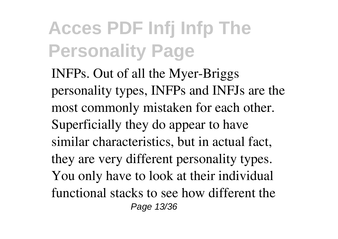INFPs. Out of all the Myer-Briggs personality types, INFPs and INFJs are the most commonly mistaken for each other. Superficially they do appear to have similar characteristics, but in actual fact, they are very different personality types. You only have to look at their individual functional stacks to see how different the Page 13/36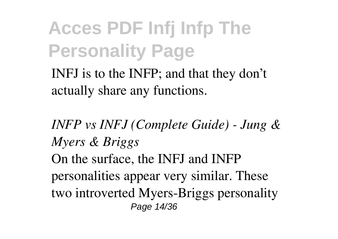INFJ is to the INFP; and that they don't actually share any functions.

*INFP vs INFJ (Complete Guide) - Jung & Myers & Briggs* On the surface, the INFJ and INFP personalities appear very similar. These two introverted Myers-Briggs personality Page 14/36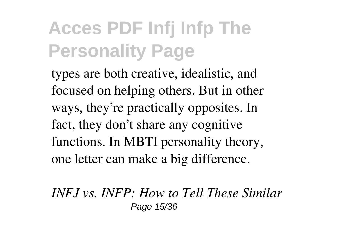types are both creative, idealistic, and focused on helping others. But in other ways, they're practically opposites. In fact, they don't share any cognitive functions. In MBTI personality theory, one letter can make a big difference.

*INFJ vs. INFP: How to Tell These Similar* Page 15/36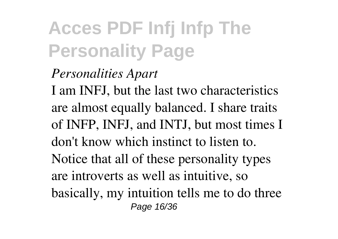#### *Personalities Apart*

I am INFJ, but the last two characteristics are almost equally balanced. I share traits of INFP, INFJ, and INTJ, but most times I don't know which instinct to listen to. Notice that all of these personality types are introverts as well as intuitive, so basically, my intuition tells me to do three Page 16/36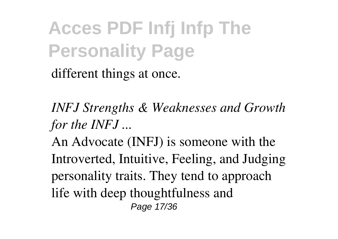different things at once.

*INFJ Strengths & Weaknesses and Growth for the INFJ ...*

An Advocate (INFJ) is someone with the Introverted, Intuitive, Feeling, and Judging personality traits. They tend to approach life with deep thoughtfulness and Page 17/36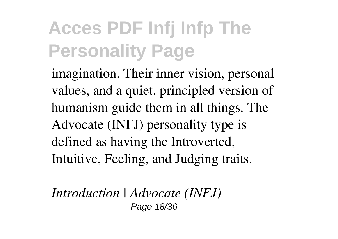imagination. Their inner vision, personal values, and a quiet, principled version of humanism guide them in all things. The Advocate (INFJ) personality type is defined as having the Introverted, Intuitive, Feeling, and Judging traits.

*Introduction | Advocate (INFJ)* Page 18/36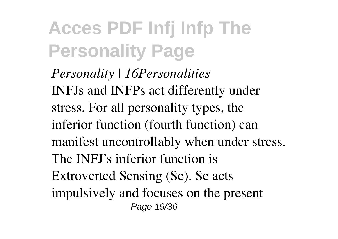*Personality | 16Personalities* INFJs and INFPs act differently under stress. For all personality types, the inferior function (fourth function) can manifest uncontrollably when under stress. The INFJ's inferior function is Extroverted Sensing (Se). Se acts impulsively and focuses on the present Page 19/36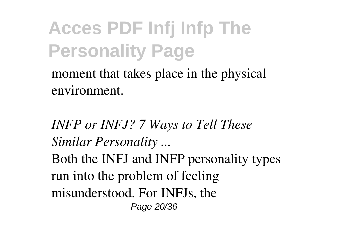moment that takes place in the physical environment.

*INFP or INFJ? 7 Ways to Tell These Similar Personality ...* Both the INFJ and INFP personality types run into the problem of feeling misunderstood. For INFJs, the Page 20/36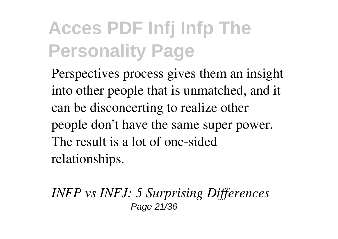Perspectives process gives them an insight into other people that is unmatched, and it can be disconcerting to realize other people don't have the same super power. The result is a lot of one-sided relationships.

*INFP vs INFJ: 5 Surprising Differences* Page 21/36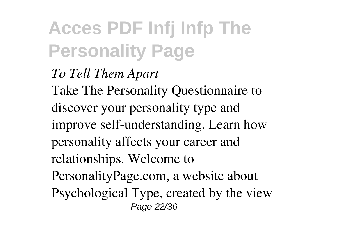*To Tell Them Apart* Take The Personality Questionnaire to discover your personality type and improve self-understanding. Learn how personality affects your career and relationships. Welcome to PersonalityPage.com, a website about Psychological Type, created by the view Page 22/36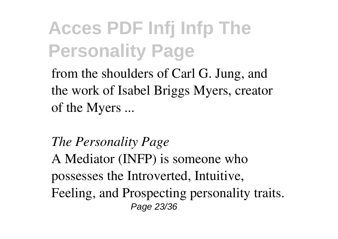from the shoulders of Carl G. Jung, and the work of Isabel Briggs Myers, creator of the Myers ...

*The Personality Page* A Mediator (INFP) is someone who possesses the Introverted, Intuitive, Feeling, and Prospecting personality traits. Page 23/36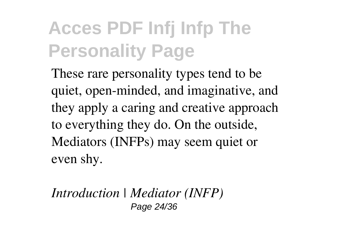These rare personality types tend to be quiet, open-minded, and imaginative, and they apply a caring and creative approach to everything they do. On the outside, Mediators (INFPs) may seem quiet or even shy.

*Introduction | Mediator (INFP)* Page 24/36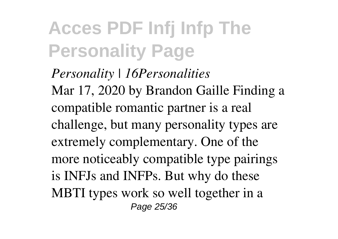*Personality | 16Personalities* Mar 17, 2020 by Brandon Gaille Finding a compatible romantic partner is a real challenge, but many personality types are extremely complementary. One of the more noticeably compatible type pairings is INFJs and INFPs. But why do these MBTI types work so well together in a Page 25/36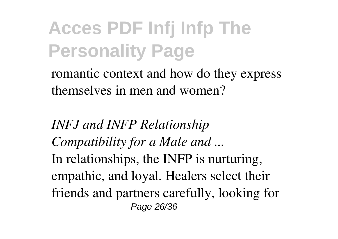romantic context and how do they express themselves in men and women?

*INFJ and INFP Relationship Compatibility for a Male and ...* In relationships, the INFP is nurturing, empathic, and loyal. Healers select their friends and partners carefully, looking for Page 26/36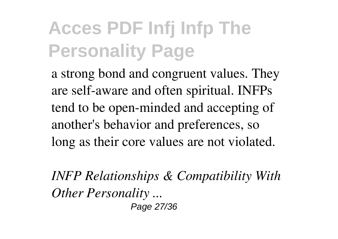a strong bond and congruent values. They are self-aware and often spiritual. INFPs tend to be open-minded and accepting of another's behavior and preferences, so long as their core values are not violated.

*INFP Relationships & Compatibility With Other Personality ...* Page 27/36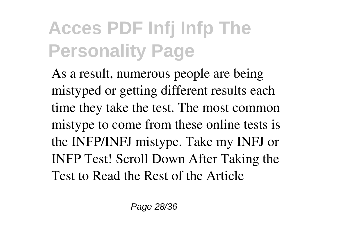As a result, numerous people are being mistyped or getting different results each time they take the test. The most common mistype to come from these online tests is the INFP/INFJ mistype. Take my INFJ or INFP Test! Scroll Down After Taking the Test to Read the Rest of the Article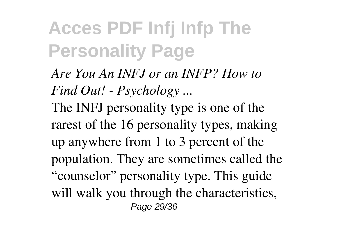*Are You An INFJ or an INFP? How to Find Out! - Psychology ...* The INFJ personality type is one of the rarest of the 16 personality types, making up anywhere from 1 to 3 percent of the population. They are sometimes called the "counselor" personality type. This guide will walk you through the characteristics, Page 29/36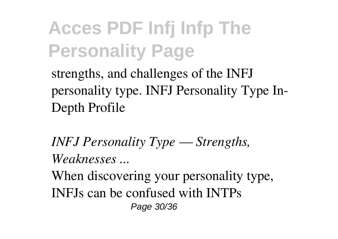strengths, and challenges of the INFJ personality type. INFJ Personality Type In-Depth Profile

*INFJ Personality Type — Strengths, Weaknesses ...*

When discovering your personality type, INFJs can be confused with INTPs Page 30/36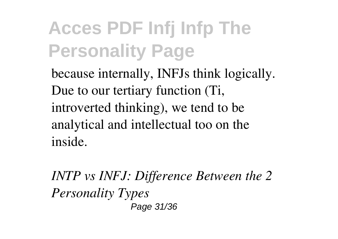because internally, INFJs think logically. Due to our tertiary function (Ti, introverted thinking), we tend to be analytical and intellectual too on the inside.

*INTP vs INFJ: Difference Between the 2 Personality Types* Page 31/36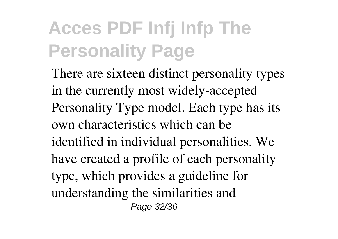There are sixteen distinct personality types in the currently most widely-accepted Personality Type model. Each type has its own characteristics which can be identified in individual personalities. We have created a profile of each personality type, which provides a guideline for understanding the similarities and Page 32/36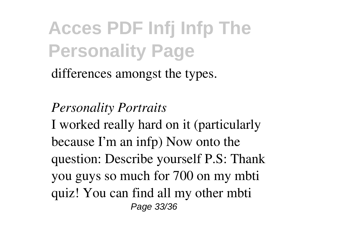differences amongst the types.

#### *Personality Portraits*

I worked really hard on it (particularly because I'm an infp) Now onto the question: Describe yourself P.S: Thank you guys so much for 700 on my mbti quiz! You can find all my other mbti Page 33/36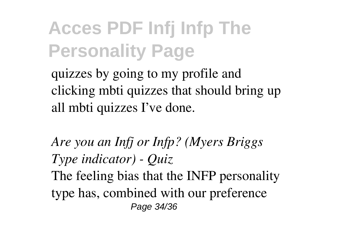quizzes by going to my profile and clicking mbti quizzes that should bring up all mbti quizzes I've done.

*Are you an Infj or Infp? (Myers Briggs Type indicator) - Quiz* The feeling bias that the INFP personality type has, combined with our preference Page 34/36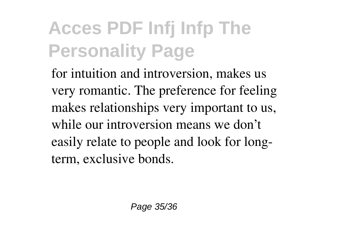for intuition and introversion, makes us very romantic. The preference for feeling makes relationships very important to us, while our introversion means we don't easily relate to people and look for longterm, exclusive bonds.